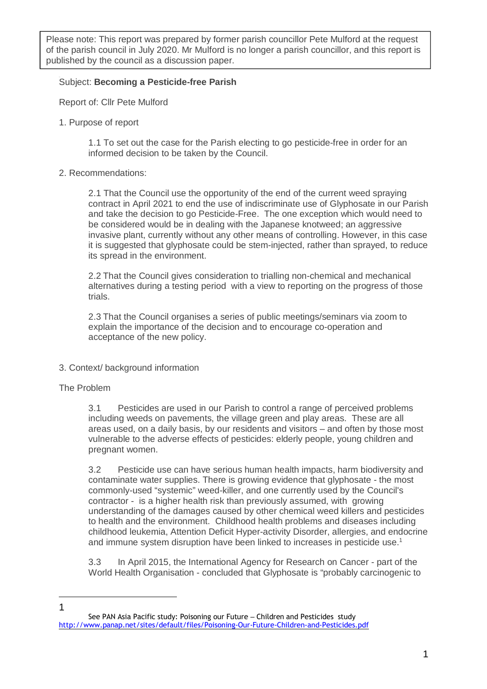Please note: This report was prepared by former parish councillor Pete Mulford at the request of the parish council in July 2020. Mr Mulford is no longer a parish councillor, and this report is published by the council as a discussion paper.

## Subject: **Becoming a Pesticide-free Parish**

Report of: Cllr Pete Mulford

1. Purpose of report

1.1 To set out the case for the Parish electing to go pesticide-free in order for an informed decision to be taken by the Council.

2. Recommendations:

2.1 That the Council use the opportunity of the end of the current weed spraying contract in April 2021 to end the use of indiscriminate use of Glyphosate in our Parish and take the decision to go Pesticide-Free. The one exception which would need to be considered would be in dealing with the Japanese knotweed; an aggressive invasive plant, currently without any other means of controlling. However, in this case it is suggested that glyphosate could be stem-injected, rather than sprayed, to reduce its spread in the environment.

2.2 That the Council gives consideration to trialling non-chemical and mechanical alternatives during a testing period with a view to reporting on the progress of those trials.

2.3 That the Council organises a series of public meetings/seminars via zoom to explain the importance of the decision and to encourage co-operation and acceptance of the new policy.

- 3. Context/ background information
- The Problem

 $\overline{a}$ 1 3.1 Pesticides are used in our Parish to control a range of perceived problems including weeds on pavements, the village green and play areas. These are all areas used, on a daily basis, by our residents and visitors – and often by those most vulnerable to the adverse effects of pesticides: elderly people, young children and pregnant women.

3.2 Pesticide use can have serious human health impacts, harm biodiversity and contaminate water supplies. There is growing evidence that glyphosate - the most commonly-used "systemic" weed-killer, and one currently used by the Council's contractor - is a higher health risk than previously assumed, with growing understanding of the damages caused by other chemical weed killers and pesticides to health and the environment. Childhood health problems and diseases including childhood leukemia, Attention Deficit Hyper-activity Disorder, allergies, and endocrine and immune system disruption have been linked to increases in pesticide use.<sup>1</sup>

3.3 In April 2015, the International Agency for Research on Cancer - part of the World Health Organisation - concluded that Glyphosate is "probably carcinogenic to

 See PAN Asia Pacific study: Poisoning our Future – Children and Pesticides study http://www.panap.net/sites/default/files/Poisoning-Our-Future-Children-and-Pesticides.pdf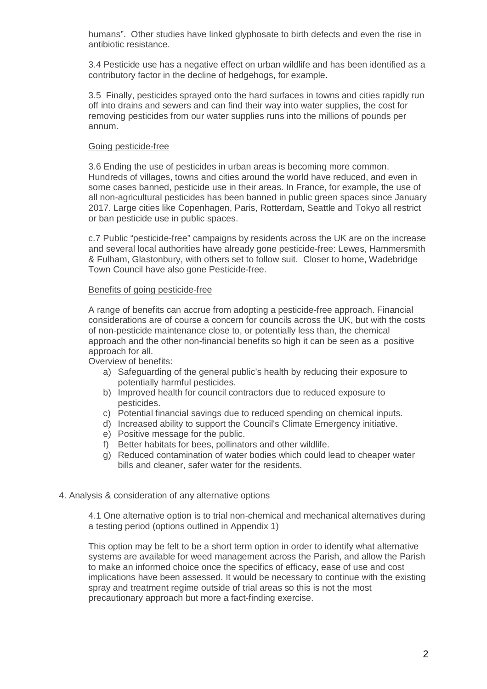humans". Other studies have linked glyphosate to birth defects and even the rise in antibiotic resistance.

3.4 Pesticide use has a negative effect on urban wildlife and has been identified as a contributory factor in the decline of hedgehogs, for example.

3.5 Finally, pesticides sprayed onto the hard surfaces in towns and cities rapidly run off into drains and sewers and can find their way into water supplies, the cost for removing pesticides from our water supplies runs into the millions of pounds per annum.

#### Going pesticide-free

3.6 Ending the use of pesticides in urban areas is becoming more common. Hundreds of villages, towns and cities around the world have reduced, and even in some cases banned, pesticide use in their areas. In France, for example, the use of all non-agricultural pesticides has been banned in public green spaces since January 2017. Large cities like Copenhagen, Paris, Rotterdam, Seattle and Tokyo all restrict or ban pesticide use in public spaces.

c.7 Public "pesticide-free" campaigns by residents across the UK are on the increase and several local authorities have already gone pesticide-free: Lewes, Hammersmith & Fulham, Glastonbury, with others set to follow suit. Closer to home, Wadebridge Town Council have also gone Pesticide-free.

### Benefits of going pesticide-free

A range of benefits can accrue from adopting a pesticide-free approach. Financial considerations are of course a concern for councils across the UK, but with the costs of non-pesticide maintenance close to, or potentially less than, the chemical approach and the other non-financial benefits so high it can be seen as a positive approach for all.

Overview of benefits:

- a) Safeguarding of the general public's health by reducing their exposure to potentially harmful pesticides.
- b) Improved health for council contractors due to reduced exposure to pesticides.
- c) Potential financial savings due to reduced spending on chemical inputs.
- d) Increased ability to support the Council's Climate Emergency initiative.
- e) Positive message for the public.
- f) Better habitats for bees, pollinators and other wildlife.
- g) Reduced contamination of water bodies which could lead to cheaper water bills and cleaner, safer water for the residents.
- 4. Analysis & consideration of any alternative options

4.1 One alternative option is to trial non-chemical and mechanical alternatives during a testing period (options outlined in Appendix 1)

This option may be felt to be a short term option in order to identify what alternative systems are available for weed management across the Parish, and allow the Parish to make an informed choice once the specifics of efficacy, ease of use and cost implications have been assessed. It would be necessary to continue with the existing spray and treatment regime outside of trial areas so this is not the most precautionary approach but more a fact-finding exercise.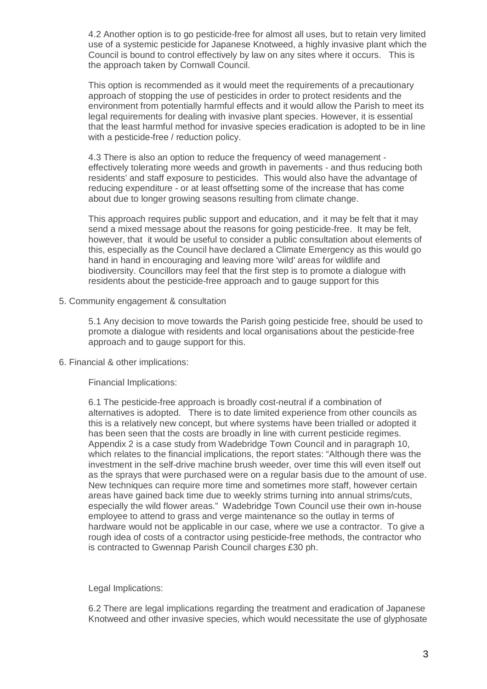4.2 Another option is to go pesticide-free for almost all uses, but to retain very limited use of a systemic pesticide for Japanese Knotweed, a highly invasive plant which the Council is bound to control effectively by law on any sites where it occurs. This is the approach taken by Cornwall Council.

This option is recommended as it would meet the requirements of a precautionary approach of stopping the use of pesticides in order to protect residents and the environment from potentially harmful effects and it would allow the Parish to meet its legal requirements for dealing with invasive plant species. However, it is essential that the least harmful method for invasive species eradication is adopted to be in line with a pesticide-free / reduction policy.

4.3 There is also an option to reduce the frequency of weed management effectively tolerating more weeds and growth in pavements - and thus reducing both residents' and staff exposure to pesticides. This would also have the advantage of reducing expenditure - or at least offsetting some of the increase that has come about due to longer growing seasons resulting from climate change.

This approach requires public support and education, and it may be felt that it may send a mixed message about the reasons for going pesticide-free. It may be felt, however, that it would be useful to consider a public consultation about elements of this, especially as the Council have declared a Climate Emergency as this would go hand in hand in encouraging and leaving more 'wild' areas for wildlife and biodiversity. Councillors may feel that the first step is to promote a dialogue with residents about the pesticide-free approach and to gauge support for this

### 5. Community engagement & consultation

5.1 Any decision to move towards the Parish going pesticide free, should be used to promote a dialogue with residents and local organisations about the pesticide-free approach and to gauge support for this.

6. Financial & other implications:

Financial Implications:

6.1 The pesticide-free approach is broadly cost-neutral if a combination of alternatives is adopted. There is to date limited experience from other councils as this is a relatively new concept, but where systems have been trialled or adopted it has been seen that the costs are broadly in line with current pesticide regimes. Appendix 2 is a case study from Wadebridge Town Council and in paragraph 10, which relates to the financial implications, the report states: "Although there was the investment in the self-drive machine brush weeder, over time this will even itself out as the sprays that were purchased were on a regular basis due to the amount of use. New techniques can require more time and sometimes more staff, however certain areas have gained back time due to weekly strims turning into annual strims/cuts, especially the wild flower areas." Wadebridge Town Council use their own in-house employee to attend to grass and verge maintenance so the outlay in terms of hardware would not be applicable in our case, where we use a contractor. To give a rough idea of costs of a contractor using pesticide-free methods, the contractor who is contracted to Gwennap Parish Council charges £30 ph.

Legal Implications:

6.2 There are legal implications regarding the treatment and eradication of Japanese Knotweed and other invasive species, which would necessitate the use of glyphosate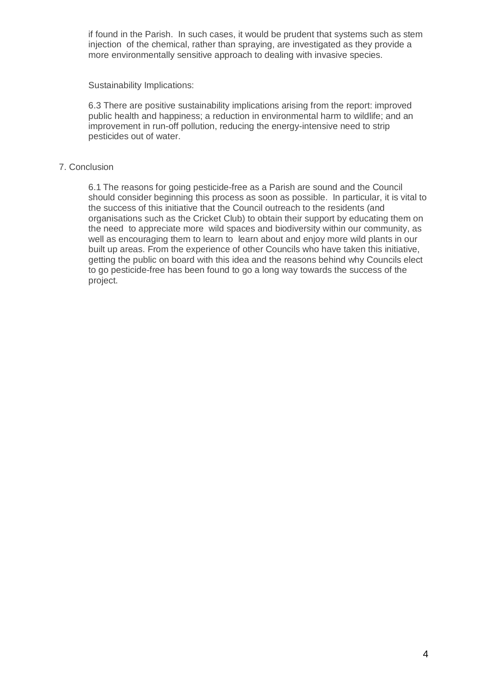if found in the Parish. In such cases, it would be prudent that systems such as stem injection of the chemical, rather than spraying, are investigated as they provide a more environmentally sensitive approach to dealing with invasive species.

Sustainability Implications:

6.3 There are positive sustainability implications arising from the report: improved public health and happiness; a reduction in environmental harm to wildlife; and an improvement in run-off pollution, reducing the energy-intensive need to strip pesticides out of water.

## 7. Conclusion

6.1 The reasons for going pesticide-free as a Parish are sound and the Council should consider beginning this process as soon as possible. In particular, it is vital to the success of this initiative that the Council outreach to the residents (and organisations such as the Cricket Club) to obtain their support by educating them on the need to appreciate more wild spaces and biodiversity within our community, as well as encouraging them to learn to learn about and enjoy more wild plants in our built up areas. From the experience of other Councils who have taken this initiative, getting the public on board with this idea and the reasons behind why Councils elect to go pesticide-free has been found to go a long way towards the success of the project.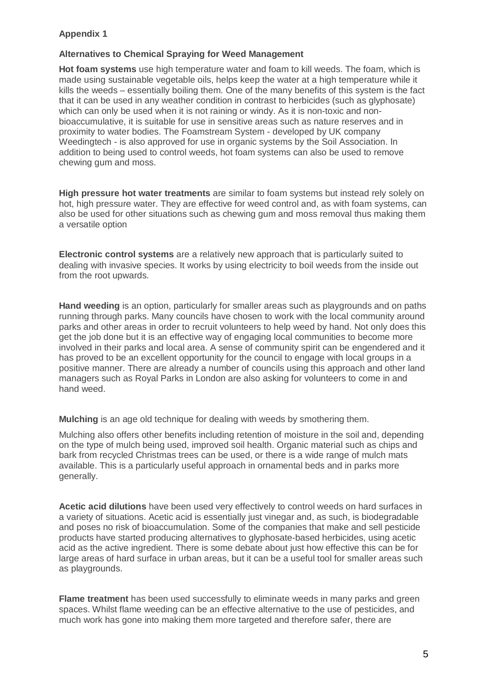# **Appendix 1**

### **Alternatives to Chemical Spraying for Weed Management**

**Hot foam systems** use high temperature water and foam to kill weeds. The foam, which is made using sustainable vegetable oils, helps keep the water at a high temperature while it kills the weeds – essentially boiling them. One of the many benefits of this system is the fact that it can be used in any weather condition in contrast to herbicides (such as glyphosate) which can only be used when it is not raining or windy. As it is non-toxic and nonbioaccumulative, it is suitable for use in sensitive areas such as nature reserves and in proximity to water bodies. The Foamstream System - developed by UK company Weedingtech - is also approved for use in organic systems by the Soil Association. In addition to being used to control weeds, hot foam systems can also be used to remove chewing gum and moss.

**High pressure hot water treatments** are similar to foam systems but instead rely solely on hot, high pressure water. They are effective for weed control and, as with foam systems, can also be used for other situations such as chewing gum and moss removal thus making them a versatile option

**Electronic control systems** are a relatively new approach that is particularly suited to dealing with invasive species. It works by using electricity to boil weeds from the inside out from the root upwards.

**Hand weeding** is an option, particularly for smaller areas such as playgrounds and on paths running through parks. Many councils have chosen to work with the local community around parks and other areas in order to recruit volunteers to help weed by hand. Not only does this get the job done but it is an effective way of engaging local communities to become more involved in their parks and local area. A sense of community spirit can be engendered and it has proved to be an excellent opportunity for the council to engage with local groups in a positive manner. There are already a number of councils using this approach and other land managers such as Royal Parks in London are also asking for volunteers to come in and hand weed.

**Mulching** is an age old technique for dealing with weeds by smothering them.

Mulching also offers other benefits including retention of moisture in the soil and, depending on the type of mulch being used, improved soil health. Organic material such as chips and bark from recycled Christmas trees can be used, or there is a wide range of mulch mats available. This is a particularly useful approach in ornamental beds and in parks more generally.

**Acetic acid dilutions** have been used very effectively to control weeds on hard surfaces in a variety of situations. Acetic acid is essentially just vinegar and, as such, is biodegradable and poses no risk of bioaccumulation. Some of the companies that make and sell pesticide products have started producing alternatives to glyphosate-based herbicides, using acetic acid as the active ingredient. There is some debate about just how effective this can be for large areas of hard surface in urban areas, but it can be a useful tool for smaller areas such as playgrounds.

**Flame treatment** has been used successfully to eliminate weeds in many parks and green spaces. Whilst flame weeding can be an effective alternative to the use of pesticides, and much work has gone into making them more targeted and therefore safer, there are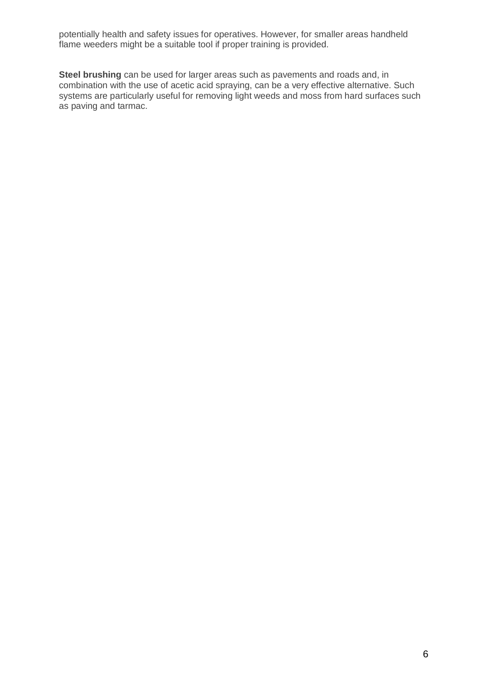potentially health and safety issues for operatives. However, for smaller areas handheld flame weeders might be a suitable tool if proper training is provided.

**Steel brushing** can be used for larger areas such as pavements and roads and, in combination with the use of acetic acid spraying, can be a very effective alternative. Such systems are particularly useful for removing light weeds and moss from hard surfaces such as paving and tarmac.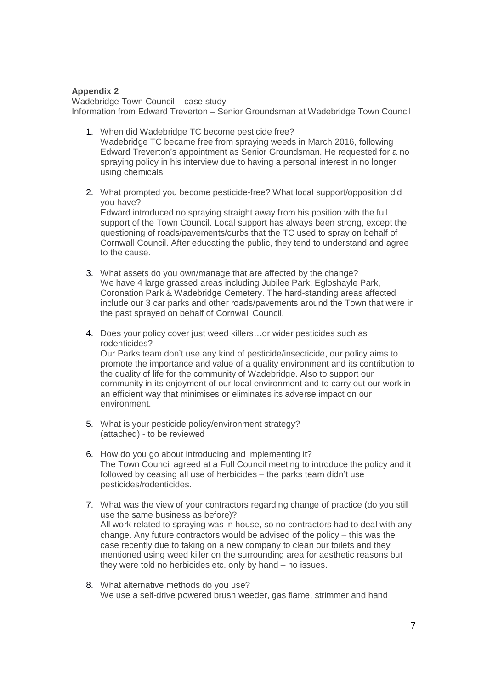### **Appendix 2**

Wadebridge Town Council – case study Information from Edward Treverton – Senior Groundsman at Wadebridge Town Council

- 1. When did Wadebridge TC become pesticide free? Wadebridge TC became free from spraying weeds in March 2016, following Edward Treverton's appointment as Senior Groundsman. He requested for a no spraying policy in his interview due to having a personal interest in no longer using chemicals.
- 2. What prompted you become pesticide-free? What local support/opposition did you have? Edward introduced no spraying straight away from his position with the full support of the Town Council. Local support has always been strong, except the

questioning of roads/pavements/curbs that the TC used to spray on behalf of Cornwall Council. After educating the public, they tend to understand and agree to the cause.

- 3. What assets do you own/manage that are affected by the change? We have 4 large grassed areas including Jubilee Park, Egloshayle Park, Coronation Park & Wadebridge Cemetery. The hard-standing areas affected include our 3 car parks and other roads/pavements around the Town that were in the past sprayed on behalf of Cornwall Council.
- 4. Does your policy cover just weed killers…or wider pesticides such as rodenticides? Our Parks team don't use any kind of pesticide/insecticide, our policy aims to promote the importance and value of a quality environment and its contribution to the quality of life for the community of Wadebridge. Also to support our community in its enjoyment of our local environment and to carry out our work in an efficient way that minimises or eliminates its adverse impact on our environment.
- 5. What is your pesticide policy/environment strategy? (attached) - to be reviewed
- 6. How do you go about introducing and implementing it? The Town Council agreed at a Full Council meeting to introduce the policy and it followed by ceasing all use of herbicides – the parks team didn't use pesticides/rodenticides.
- 7. What was the view of your contractors regarding change of practice (do you still use the same business as before)? All work related to spraying was in house, so no contractors had to deal with any change. Any future contractors would be advised of the policy – this was the case recently due to taking on a new company to clean our toilets and they mentioned using weed killer on the surrounding area for aesthetic reasons but they were told no herbicides etc. only by hand – no issues.
- 8. What alternative methods do you use? We use a self-drive powered brush weeder, gas flame, strimmer and hand